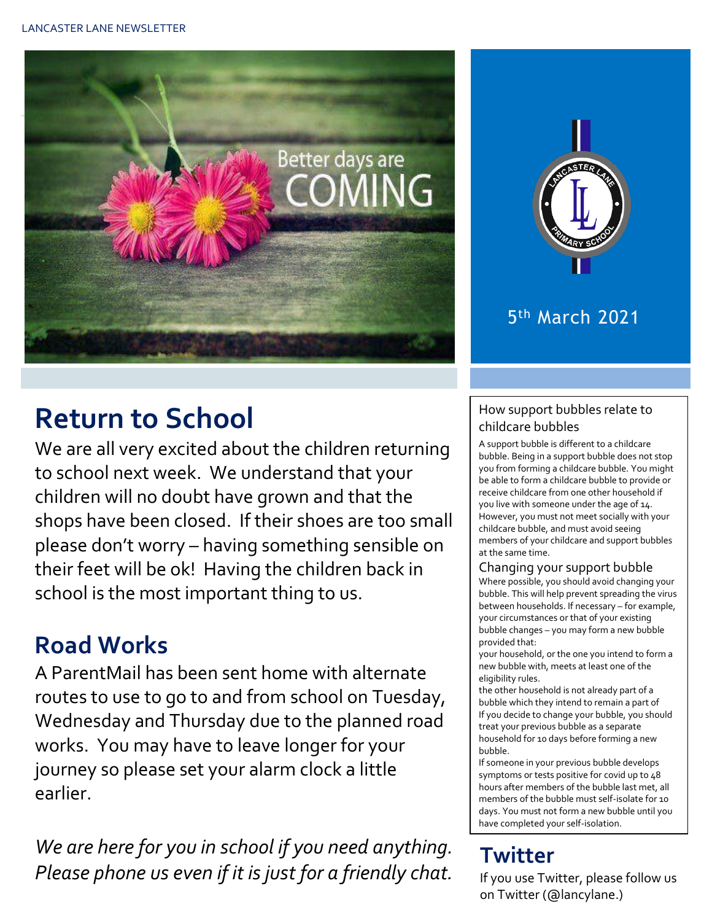



### 5 th March 2021

# **Return to School**

We are all very excited about the children returning to school next week. We understand that your children will no doubt have grown and that the shops have been closed. If their shoes are too small please don't worry – having something sensible on their feet will be ok! Having the children back in school is the most important thing to us.

### **Road Works**

A ParentMail has been sent home with alternate routes to use to go to and from school on Tuesday, Wednesday and Thursday due to the planned road works. You may have to leave longer for your journey so please set your alarm clock a little earlier.

*We are here for you in school if you need anything. Please phone us even if it is just for a friendly chat.* 

#### How support bubbles relate to childcare bubbles

A support bubble is different to a childcare bubble. Being in a support bubble does not stop you from forming a childcare bubble. You might be able to form a childcare bubble to provide or receive childcare from one other household if you live with someone under the age of 14. However, you must not meet socially with your childcare bubble, and must avoid seeing members of your childcare and support bubbles at the same time.

#### Changing your support bubble

Where possible, you should avoid changing your bubble. This will help prevent spreading the virus between households. If necessary – for example, your circumstances or that of your existing bubble changes – you may form a new bubble provided that:

your household, or the one you intend to form a new bubble with, meets at least one of the eligibility rules.

the other household is not already part of a bubble which they intend to remain a part of If you decide to change your bubble, you should treat your previous bubble as a separate household for 10 days before forming a new bubble.

If someone in your previous bubble develops symptoms or tests positive for covid up to 48 hours after members of the bubble last met, all members of the bubble must self-isolate for 10 days. You must not form a new bubble until you have completed your self-isolation.

### **Twitter**

If you use Twitter, please follow us on Twitter (@lancylane.)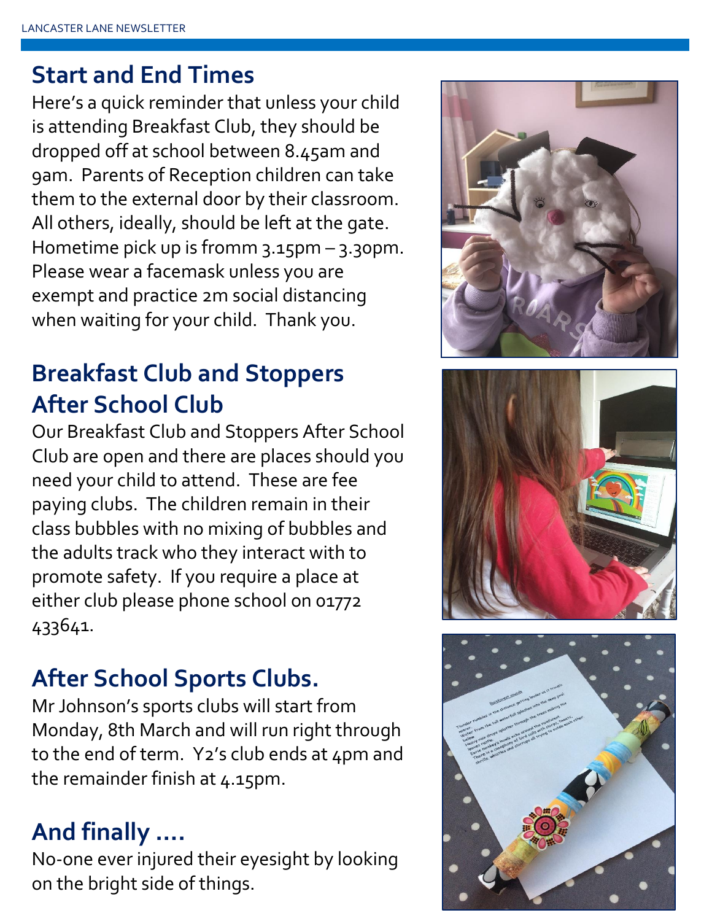### **Start and End Times**

Here's a quick reminder that unless your child is attending Breakfast Club, they should be dropped off at school between 8.45am and 9am. Parents of Reception children can take them to the external door by their classroom. All others, ideally, should be left at the gate. Hometime pick up is fromm 3.15pm – 3.30pm. Please wear a facemask unless you are exempt and practice 2m social distancing when waiting for your child. Thank you.

## **Breakfast Club and Stoppers After School Club**

Our Breakfast Club and Stoppers After School Club are open and there are places should you need your child to attend. These are fee paying clubs. The children remain in their class bubbles with no mixing of bubbles and the adults track who they interact with to promote safety. If you require a place at either club please phone school on 01772 433641.

### **After School Sports Clubs.**

Mr Johnson's sports clubs will start from Monday, 8th March and will run right through to the end of term. Y2's club ends at 4pm and the remainder finish at 4.15pm.

## **And finally ….**

No-one ever injured their eyesight by looking on the bright side of things.